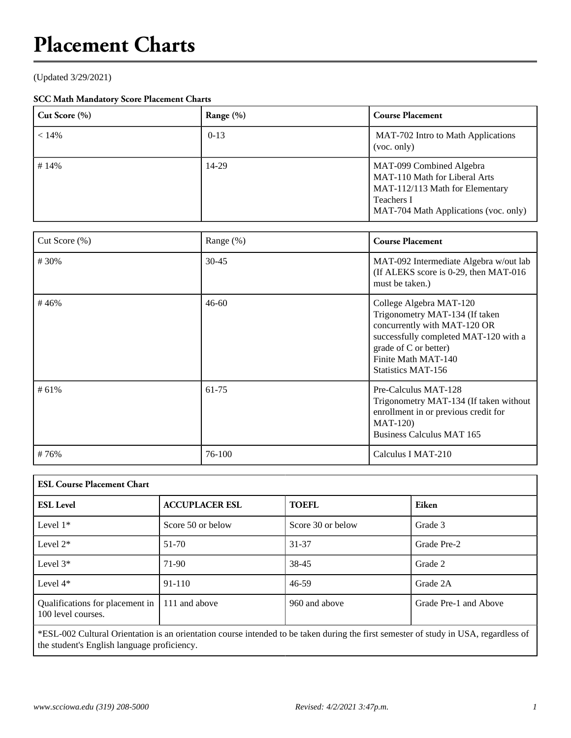## **Placement Charts**

(Updated 3/29/2021)

## **SCC Math Mandatory Score Placement Charts**

| Cut Score $(\% )$ | Range (%) | <b>Course Placement</b>                                                                                                                                    |
|-------------------|-----------|------------------------------------------------------------------------------------------------------------------------------------------------------------|
| $< 14\%$          | $0-13$    | MAT-702 Intro to Math Applications<br>(voc. only)                                                                                                          |
| #14%              | 14-29     | MAT-099 Combined Algebra<br>MAT-110 Math for Liberal Arts<br>MAT-112/113 Math for Elementary<br><b>Teachers I</b><br>MAT-704 Math Applications (voc. only) |

| Cut Score $(\%)$ | Range (%) | <b>Course Placement</b>                                                                                                                                                                                         |
|------------------|-----------|-----------------------------------------------------------------------------------------------------------------------------------------------------------------------------------------------------------------|
| #30%             | $30 - 45$ | MAT-092 Intermediate Algebra w/out lab<br>(If ALEKS score is 0-29, then MAT-016)<br>must be taken.)                                                                                                             |
| #46%             | $46 - 60$ | College Algebra MAT-120<br>Trigonometry MAT-134 (If taken<br>concurrently with MAT-120 OR<br>successfully completed MAT-120 with a<br>grade of C or better)<br>Finite Math MAT-140<br><b>Statistics MAT-156</b> |
| #61%             | 61-75     | Pre-Calculus MAT-128<br>Trigonometry MAT-134 (If taken without<br>enrollment in or previous credit for<br>$MAT-120$<br><b>Business Calculus MAT 165</b>                                                         |
| #76%             | 76-100    | Calculus I MAT-210                                                                                                                                                                                              |

| <b>ESL Course Placement Chart</b>                     |                       |                   |                       |  |  |  |  |  |
|-------------------------------------------------------|-----------------------|-------------------|-----------------------|--|--|--|--|--|
| <b>ESL Level</b>                                      | <b>ACCUPLACER ESL</b> | <b>TOEFL</b>      | Eiken                 |  |  |  |  |  |
| Level $1*$                                            | Score 50 or below     | Score 30 or below | Grade 3               |  |  |  |  |  |
| Level $2*$                                            | 51-70                 | 31-37             | Grade Pre-2           |  |  |  |  |  |
| Level $3*$                                            | 71-90                 | 38-45             | Grade 2               |  |  |  |  |  |
| Level $4*$                                            | $91 - 110$            | 46-59             | Grade 2A              |  |  |  |  |  |
| Qualifications for placement in<br>100 level courses. | 111 and above         | 960 and above     | Grade Pre-1 and Above |  |  |  |  |  |

\*ESL-002 Cultural Orientation is an orientation course intended to be taken during the first semester of study in USA, regardless of the student's English language proficiency.